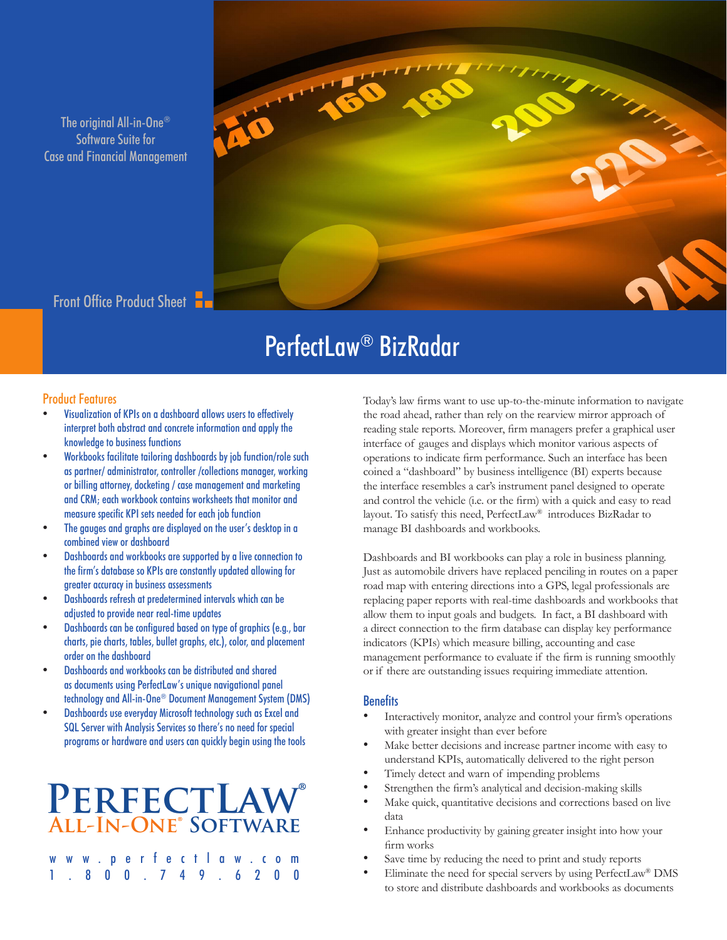The original All-in-One® Software Suite for Case and Financial Management



Front Office Product Sheet

## PerfectLaw® BizRadar

## Product Features

- Visualization of KPIs on a dashboard allows users to effectively interpret both abstract and concrete information and apply the knowledge to business functions
- Workbooks facilitate tailoring dashboards by job function/role such as partner/ administrator, controller /collections manager, working or billing attorney, docketing / case management and marketing and CRM; each workbook contains worksheets that monitor and measure specific KPI sets needed for each job function
- The gauges and graphs are displayed on the user's desktop in a combined view or dashboard
- Dashboards and workbooks are supported by a live connection to the firm's database so KPIs are constantly updated allowing for greater accuracy in business assessments
- Dashboards refresh at predetermined intervals which can be adjusted to provide near real-time updates
- Dashboards can be configured based on type of graphics (e.g., bar charts, pie charts, tables, bullet graphs, etc.), color, and placement order on the dashboard
- Dashboards and workbooks can be distributed and shared as documents using PerfectLaw's unique navigational panel technology and All-in-One® Document Management System (DMS)
- Dashboards use everyday Microsoft technology such as Excel and SQL Server with Analysis Services so there's no need for special programs or hardware and users can quickly begin using the tools

## **PerfectLaw® All-In-One® Software**

|  |  |  |  |  | www.perfectlaw.com |  |
|--|--|--|--|--|--------------------|--|
|  |  |  |  |  | 1.800.749.6200     |  |

Today's law firms want to use up-to-the-minute information to navigate the road ahead, rather than rely on the rearview mirror approach of reading stale reports. Moreover, firm managers prefer a graphical user interface of gauges and displays which monitor various aspects of operations to indicate firm performance. Such an interface has been coined a "dashboard" by business intelligence (BI) experts because the interface resembles a car's instrument panel designed to operate and control the vehicle (i.e. or the firm) with a quick and easy to read layout. To satisfy this need, PerfectLaw® introduces BizRadar to manage BI dashboards and workbooks.

Dashboards and BI workbooks can play a role in business planning. Just as automobile drivers have replaced penciling in routes on a paper road map with entering directions into a GPS, legal professionals are replacing paper reports with real-time dashboards and workbooks that allow them to input goals and budgets. In fact, a BI dashboard with a direct connection to the firm database can display key performance indicators (KPIs) which measure billing, accounting and case management performance to evaluate if the firm is running smoothly or if there are outstanding issues requiring immediate attention.

## **Benefits**

- Interactively monitor, analyze and control your firm's operations with greater insight than ever before
- Make better decisions and increase partner income with easy to understand KPIs, automatically delivered to the right person
- Timely detect and warn of impending problems
- Strengthen the firm's analytical and decision-making skills
- Make quick, quantitative decisions and corrections based on live data
- Enhance productivity by gaining greater insight into how your firm works
- Save time by reducing the need to print and study reports
- Eliminate the need for special servers by using  $PerfectLaw^{\circledast}$  DMS to store and distribute dashboards and workbooks as documents